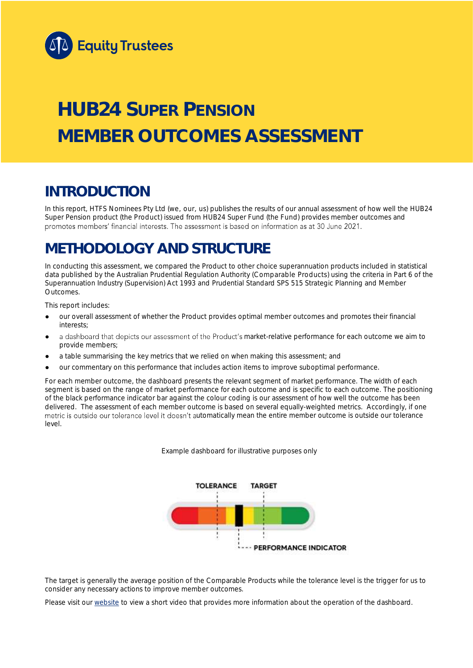

# **HUB24 SUPER PENSION MEMBER OUTCOMES ASSESSMENT**

## **INTRODUCTION**

In this report, HTFS Nominees Pty Ltd (we, our, us) publishes the results of our annual assessment of how well the HUB24 Super Pension product (the Product) issued from HUB24 Super Fund (the Fund) provides member outcomes and promotes members' financial interests. The assessment is based on information as at 30 June 2021.

## **METHODOLOGY AND STRUCTURE**

In conducting this assessment, we compared the Product to other choice superannuation products included in statistical data published by the Australian Prudential Regulation Authority (Comparable Products) using the criteria in Part 6 of the *Superannuation Industry (Supervision) Act 1993* and Prudential Standard SPS 515 *Strategic Planning and Member Outcomes*.

This report includes:

- our overall assessment of whether the Product provides optimal member outcomes and promotes their financial interests;
- a dashboard that depicts our assessment of the Product's market-relative performance for each outcome we aim to provide members;
- a table summarising the key metrics that we relied on when making this assessment; and
- our commentary on this performance that includes action items to improve suboptimal performance.

For each member outcome, the dashboard presents the relevant segment of market performance. The width of each segment is based on the range of market performance for each outcome and is specific to each outcome. The positioning of the black performance indicator bar against the colour coding is our assessment of how well the outcome has been delivered. The assessment of each member outcome is based on several equally-weighted metrics. Accordingly, if one metric is outside our tolerance level it doesn't automatically mean the entire member outcome is outside our tolerance level.

*Example dashboard for illustrative purposes only*



The target is generally the average position of the Comparable Products while the tolerance level is the trigger for us to consider any necessary actions to improve member outcomes.

Please visit our [website](https://www.eqt.com.au/superannuation) to view a short video that provides more information about the operation of the dashboard.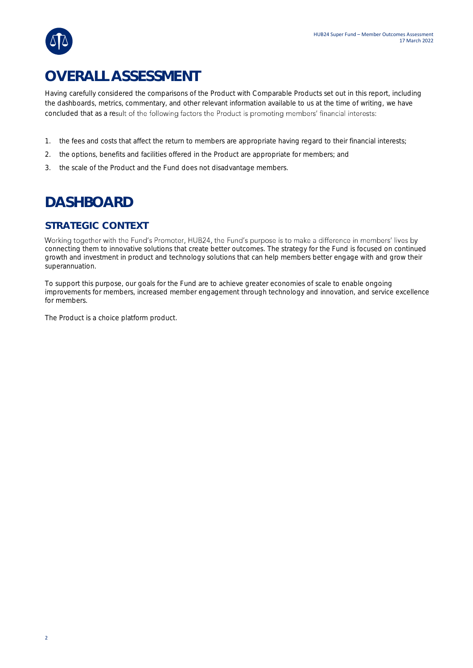## **OVERALL ASSESSMENT**

Having carefully considered the comparisons of the Product with Comparable Products set out in this report, including the dashboards, metrics, commentary, and other relevant information available to us at the time of writing, we have concluded that as a result of the following factors the Product is promoting members' financial interests:

- 1. the fees and costs that affect the return to members are appropriate having regard to their financial interests;
- 2. the options, benefits and facilities offered in the Product are appropriate for members; and
- 3. the scale of the Product and the Fund does not disadvantage members.

## **DASHBOARD**

### **STRATEGIC CONTEXT**

Working together with the Fund's Promoter, HUB24, the Fund's purpose is to make a difference in members' lives by connecting them to innovative solutions that create better outcomes. The strategy for the Fund is focused on continued growth and investment in product and technology solutions that can help members better engage with and grow their superannuation.

To support this purpose, our goals for the Fund are to achieve greater economies of scale to enable ongoing improvements for members, increased member engagement through technology and innovation, and service excellence for members.

The Product is a choice platform product.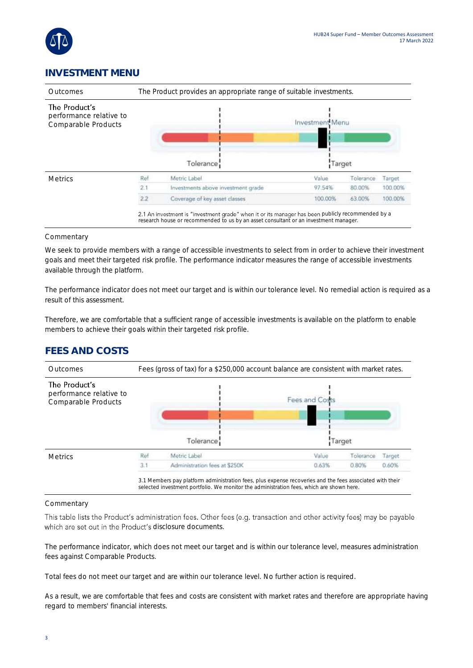

### **INVESTMENT MENU**



#### **Commentary**

We seek to provide members with a range of accessible investments to select from in order to achieve their investment goals and meet their targeted risk profile. The performance indicator measures the range of accessible investments available through the platform.

The performance indicator does not meet our target and is within our tolerance level. No remedial action is required as a result of this assessment.

Therefore, we are comfortable that a sufficient range of accessible investments is available on the platform to enable members to achieve their goals within their targeted risk profile.

## **FEES AND COSTS**



#### Commentary

This table lists the Product's administration fees. Other fees (e.g. transaction and other activity fees) may be payable which are set out in the Product's disclosure documents.

The performance indicator, which does not meet our target and is within our tolerance level, measures administration fees against Comparable Products.

Total fees do not meet our target and are within our tolerance level. No further action is required.

As a result, we are comfortable that fees and costs are consistent with market rates and therefore are appropriate having regard to members' financial interests.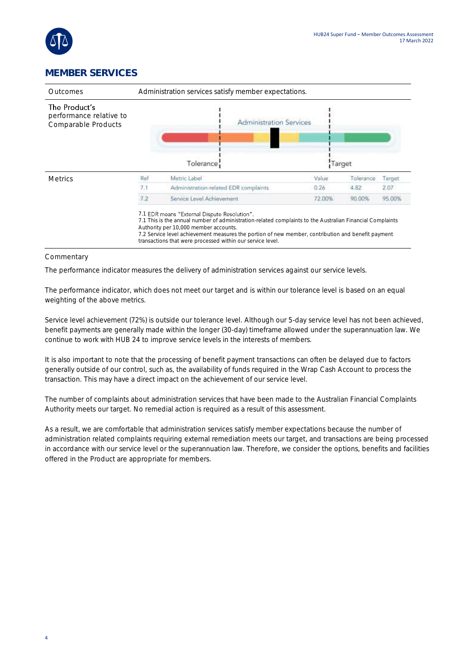

### **MEMBER SERVICES**

| Administration services satisfy member expectations. |                                       |        |                                |        |
|------------------------------------------------------|---------------------------------------|--------|--------------------------------|--------|
|                                                      |                                       |        |                                |        |
|                                                      | Tolerance                             |        |                                |        |
| Ref                                                  | Metric Label                          | Value  | Tolerance                      | Target |
| 7.1                                                  | Administration-related EDR complaints | 0.26   | 4.82                           | 2.07   |
| 7.2                                                  | Service Level Achievement.            | 72.00% | 90.00%                         | 95.00% |
|                                                      |                                       |        | <b>Administration Services</b> | Target |

#### Commentary

The performance indicator measures the delivery of administration services against our service levels.

The performance indicator, which does not meet our target and is within our tolerance level is based on an equal weighting of the above metrics.

Service level achievement (72%) is outside our tolerance level. Although our 5-day service level has not been achieved, benefit payments are generally made within the longer (30-day) timeframe allowed under the superannuation law. We continue to work with HUB 24 to improve service levels in the interests of members.

It is also important to note that the processing of benefit payment transactions can often be delayed due to factors generally outside of our control, such as, the availability of funds required in the Wrap Cash Account to process the transaction. This may have a direct impact on the achievement of our service level.

The number of complaints about administration services that have been made to the Australian Financial Complaints Authority meets our target. No remedial action is required as a result of this assessment.

As a result, we are comfortable that administration services satisfy member expectations because the number of administration related complaints requiring external remediation meets our target, and transactions are being processed in accordance with our service level or the superannuation law. Therefore, we consider the options, benefits and facilities offered in the Product are appropriate for members.